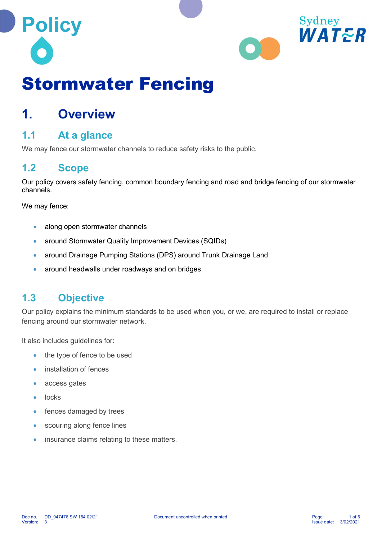



# Stormwater Fencing

## 1. Overview

## 1.1 At a glance

We may fence our stormwater channels to reduce safety risks to the public.

## 1.2 Scope

Our policy covers safety fencing, common boundary fencing and road and bridge fencing of our stormwater channels.

We may fence:

- along open stormwater channels
- around Stormwater Quality Improvement Devices (SQIDs)
- around Drainage Pumping Stations (DPS) around Trunk Drainage Land
- around headwalls under roadways and on bridges.

## 1.3 Objective

Our policy explains the minimum standards to be used when you, or we, are required to install or replace fencing around our stormwater network.

It also includes guidelines for:

- the type of fence to be used
- installation of fences
- access gates
- locks
- fences damaged by trees
- scouring along fence lines
- insurance claims relating to these matters.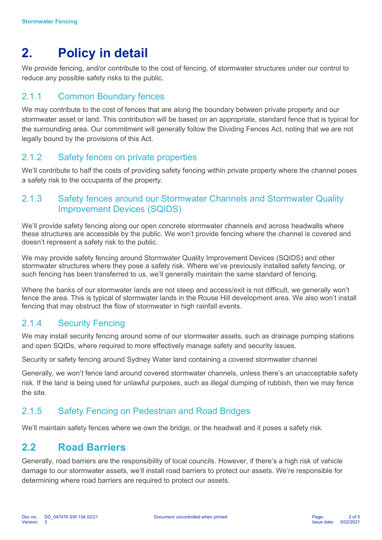## 2. Policy in detail

We provide fencing, and/or contribute to the cost of fencing, of stormwater structures under our control to reduce any possible safety risks to the public.

## 2.1.1 Common Boundary fences

We may contribute to the cost of fences that are along the boundary between private property and our stormwater asset or land. This contribution will be based on an appropriate, standard fence that is typical for the surrounding area. Our commitment will generally follow the Dividing Fences Act, noting that we are not legally bound by the provisions of this Act.

### 2.1.2 Safety fences on private properties

We'll contribute to half the costs of providing safety fencing within private property where the channel poses a safety risk to the occupants of the property.

## 2.1.3 Safety fences around our Stormwater Channels and Stormwater Quality Improvement Devices (SQIDS)

We'll provide safety fencing along our open concrete stormwater channels and across headwalls where these structures are accessible by the public. We won't provide fencing where the channel is covered and doesn't represent a safety risk to the public.

We may provide safety fencing around Stormwater Quality Improvement Devices (SQIDS) and other stormwater structures where they pose a safety risk. Where we've previously installed safety fencing, or such fencing has been transferred to us, we'll generally maintain the same standard of fencing.

Where the banks of our stormwater lands are not steep and access/exit is not difficult, we generally won't fence the area. This is typical of stormwater lands in the Rouse Hill development area. We also won't install fencing that may obstruct the flow of stormwater in high rainfall events.

## 2.1.4 Security Fencing

We may install security fencing around some of our stormwater assets, such as drainage pumping stations and open SQIDs, where required to more effectively manage safety and security issues.

Security or safety fencing around Sydney Water land containing a covered stormwater channel

Generally, we won't fence land around covered stormwater channels, unless there's an unacceptable safety risk. If the land is being used for unlawful purposes, such as illegal dumping of rubbish, then we may fence the site.

## 2.1.5 Safety Fencing on Pedestrian and Road Bridges

We'll maintain safety fences where we own the bridge, or the headwall and it poses a safety risk.

## 2.2 Road Barriers

Generally, road barriers are the responsibility of local councils. However, if there's a high risk of vehicle damage to our stormwater assets, we'll install road barriers to protect our assets. We're responsible for determining where road barriers are required to protect our assets.

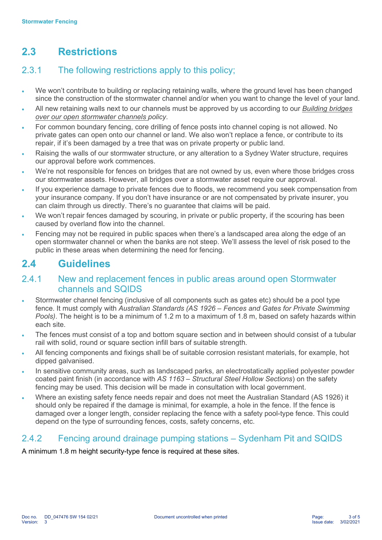## 2.3 Restrictions

## 2.3.1 The following restrictions apply to this policy;

- We won't contribute to building or replacing retaining walls, where the ground level has been changed since the construction of the stormwater channel and/or when you want to change the level of your land.
- All new retaining walls next to our channels must be approved by us according to our Building bridges over our open stormwater channels policy.
- For common boundary fencing, core drilling of fence posts into channel coping is not allowed. No private gates can open onto our channel or land. We also won't replace a fence, or contribute to its repair, if it's been damaged by a tree that was on private property or public land.
- Raising the walls of our stormwater structure, or any alteration to a Sydney Water structure, requires our approval before work commences.
- We're not responsible for fences on bridges that are not owned by us, even where those bridges cross our stormwater assets. However, all bridges over a stormwater asset require our approval.
- If you experience damage to private fences due to floods, we recommend you seek compensation from your insurance company. If you don't have insurance or are not compensated by private insurer, you can claim through us directly. There's no guarantee that claims will be paid.
- We won't repair fences damaged by scouring, in private or public property, if the scouring has been caused by overland flow into the channel.
- Fencing may not be required in public spaces when there's a landscaped area along the edge of an open stormwater channel or when the banks are not steep. We'll assess the level of risk posed to the public in these areas when determining the need for fencing.

## 2.4 Guidelines

### 2.4.1 New and replacement fences in public areas around open Stormwater channels and SQIDS

- Stormwater channel fencing (inclusive of all components such as gates etc) should be a pool type fence. It must comply with Australian Standards (AS 1926 – Fences and Gates for Private Swimming Pools). The height is to be a minimum of 1.2 m to a maximum of 1.8 m, based on safety hazards within each site.
- The fences must consist of a top and bottom square section and in between should consist of a tubular rail with solid, round or square section infill bars of suitable strength.
- All fencing components and fixings shall be of suitable corrosion resistant materials, for example, hot dipped galvanised.
- In sensitive community areas, such as landscaped parks, an electrostatically applied polyester powder coated paint finish (in accordance with AS 1163 – Structural Steel Hollow Sections) on the safety fencing may be used. This decision will be made in consultation with local government.
- Where an existing safety fence needs repair and does not meet the Australian Standard (AS 1926) it should only be repaired if the damage is minimal, for example, a hole in the fence. If the fence is damaged over a longer length, consider replacing the fence with a safety pool-type fence. This could depend on the type of surrounding fences, costs, safety concerns, etc.

## 2.4.2 Fencing around drainage pumping stations – Sydenham Pit and SQIDS

A minimum 1.8 m height security-type fence is required at these sites.

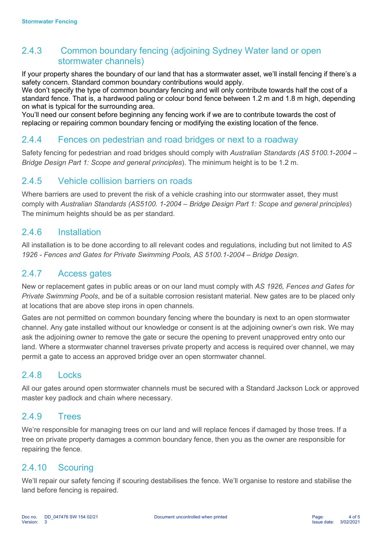## 2.4.3 Common boundary fencing (adjoining Sydney Water land or open stormwater channels)

If your property shares the boundary of our land that has a stormwater asset, we'll install fencing if there's a safety concern. Standard common boundary contributions would apply.

We don't specify the type of common boundary fencing and will only contribute towards half the cost of a standard fence. That is, a hardwood paling or colour bond fence between 1.2 m and 1.8 m high, depending on what is typical for the surrounding area.

You'll need our consent before beginning any fencing work if we are to contribute towards the cost of replacing or repairing common boundary fencing or modifying the existing location of the fence.

#### 2.4.4 Fences on pedestrian and road bridges or next to a roadway

Safety fencing for pedestrian and road bridges should comply with Australian Standards (AS 5100.1-2004 – Bridge Design Part 1: Scope and general principles). The minimum height is to be 1.2 m.

### 2.4.5 Vehicle collision barriers on roads

Where barriers are used to prevent the risk of a vehicle crashing into our stormwater asset, they must comply with Australian Standards (AS5100. 1-2004 – Bridge Design Part 1: Scope and general principles) The minimum heights should be as per standard.

### 2.4.6 Installation

All installation is to be done according to all relevant codes and regulations, including but not limited to AS 1926 - Fences and Gates for Private Swimming Pools, AS 5100.1-2004 – Bridge Design.

#### 2.4.7 Access gates

New or replacement gates in public areas or on our land must comply with AS 1926, Fences and Gates for Private Swimming Pools, and be of a suitable corrosion resistant material. New gates are to be placed only at locations that are above step irons in open channels.

Gates are not permitted on common boundary fencing where the boundary is next to an open stormwater channel. Any gate installed without our knowledge or consent is at the adjoining owner's own risk. We may ask the adjoining owner to remove the gate or secure the opening to prevent unapproved entry onto our land. Where a stormwater channel traverses private property and access is required over channel, we may permit a gate to access an approved bridge over an open stormwater channel.

### 2.4.8 Locks

All our gates around open stormwater channels must be secured with a Standard Jackson Lock or approved master key padlock and chain where necessary.

#### 2.4.9 Trees

We're responsible for managing trees on our land and will replace fences if damaged by those trees. If a tree on private property damages a common boundary fence, then you as the owner are responsible for repairing the fence.

### 2.4.10 Scouring

We'll repair our safety fencing if scouring destabilises the fence. We'll organise to restore and stabilise the land before fencing is repaired.